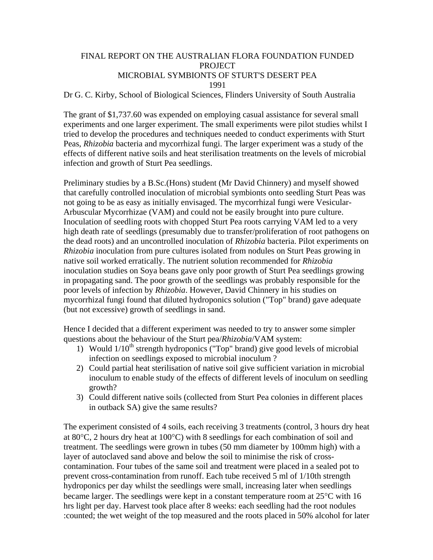## FINAL REPORT ON THE AUSTRALIAN FLORA FOUNDATION FUNDED **PROJECT** MICROBIAL SYMBIONTS OF STURT'S DESERT PEA 1991

## Dr G. C. Kirby, School of Biological Sciences, Flinders University of South Australia

The grant of \$1,737.60 was expended on employing casual assistance for several small experiments and one larger experiment. The small experiments were pilot studies whilst I tried to develop the procedures and techniques needed to conduct experiments with Sturt Peas, *Rhizobia* bacteria and mycorrhizal fungi. The larger experiment was a study of the effects of different native soils and heat sterilisation treatments on the levels of microbial infection and growth of Sturt Pea seedlings.

Preliminary studies by a B.Sc.(Hons) student (Mr David Chinnery) and myself showed that carefully controlled inoculation of microbial symbionts onto seedling Sturt Peas was not going to be as easy as initially envisaged. The mycorrhizal fungi were Vesicular-Arbuscular Mycorrhizae (VAM) and could not be easily brought into pure culture. Inoculation of seedling roots with chopped Sturt Pea roots carrying VAM led to a very high death rate of seedlings (presumably due to transfer/proliferation of root pathogens on the dead roots) and an uncontrolled inoculation of *Rhizobia* bacteria. Pilot experiments on *Rhizobia* inoculation from pure cultures isolated from nodules on Sturt Peas growing in native soil worked erratically. The nutrient solution recommended for *Rhizobia* inoculation studies on Soya beans gave only poor growth of Sturt Pea seedlings growing in propagating sand. The poor growth of the seedlings was probably responsible for the poor levels of infection by *Rhizobia*. However, David Chinnery in his studies on mycorrhizal fungi found that diluted hydroponics solution ("Top" brand) gave adequate (but not excessive) growth of seedlings in sand.

Hence I decided that a different experiment was needed to try to answer some simpler questions about the behaviour of the Sturt pea/*Rhizobia*/VAM system:

- 1) Would  $1/10^{th}$  strength hydroponics ("Top" brand) give good levels of microbial infection on seedlings exposed to microbial inoculum ?
- 2) Could partial heat sterilisation of native soil give sufficient variation in microbial inoculum to enable study of the effects of different levels of inoculum on seedling growth?
- 3) Could different native soils (collected from Sturt Pea colonies in different places in outback SA) give the same results?

The experiment consisted of 4 soils, each receiving 3 treatments (control, 3 hours dry heat at 80°C, 2 hours dry heat at 100°C) with 8 seedlings for each combination of soil and treatment. The seedlings were grown in tubes (50 mm diameter by 100mm high) with a layer of autoclaved sand above and below the soil to minimise the risk of crosscontamination. Four tubes of the same soil and treatment were placed in a sealed pot to prevent cross-contamination from runoff. Each tube received 5 ml of 1/10th strength hydroponics per day whilst the seedlings were small, increasing later when seedlings became larger. The seedlings were kept in a constant temperature room at 25°C with 16 hrs light per day. Harvest took place after 8 weeks: each seedling had the root nodules :counted; the wet weight of the top measured and the roots placed in 50% alcohol for later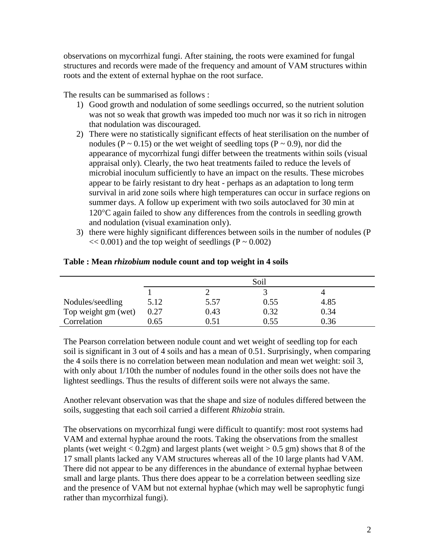observations on mycorrhizal fungi. After staining, the roots were examined for fungal structures and records were made of the frequency and amount of VAM structures within roots and the extent of external hyphae on the root surface.

The results can be summarised as follows :

- 1) Good growth and nodulation of some seedlings occurred, so the nutrient solution was not so weak that growth was impeded too much nor was it so rich in nitrogen that nodulation was discouraged.
- 2) There were no statistically significant effects of heat sterilisation on the number of nodules ( $P \sim 0.15$ ) or the wet weight of seedling tops ( $P \sim 0.9$ ), nor did the appearance of mycorrhizal fungi differ between the treatments within soils (visual appraisal only). Clearly, the two heat treatments failed to reduce the levels of microbial inoculum sufficiently to have an impact on the results. These microbes appear to be fairly resistant to dry heat - perhaps as an adaptation to long term survival in arid zone soils where high temperatures can occur in surface regions on summer days. A follow up experiment with two soils autoclaved for 30 min at 120°C again failed to show any differences from the controls in seedling growth and nodulation (visual examination only).
- 3) there were highly significant differences between soils in the number of nodules (P  $<< 0.001$ ) and the top weight of seedlings (P  $\sim 0.002$ )

|                     | Soil |          |      |      |  |
|---------------------|------|----------|------|------|--|
|                     |      |          |      |      |  |
| Nodules/seedling    | 5.12 | 5.57     | 0.55 | 4.85 |  |
| Top weight gm (wet) | 0.27 | 0.43     | 0.32 | 0.34 |  |
| Correlation         | 0.65 | $0.51\,$ | 0.55 | 0.36 |  |

## **Table : Mean** *rhizobium* **nodule count and top weight in 4 soils**

The Pearson correlation between nodule count and wet weight of seedling top for each soil is significant in 3 out of 4 soils and has a mean of 0.51. Surprisingly, when comparing the 4 soils there is no correlation between mean nodulation and mean wet weight: soil 3, with only about 1/10th the number of nodules found in the other soils does not have the lightest seedlings. Thus the results of different soils were not always the same.

Another relevant observation was that the shape and size of nodules differed between the soils, suggesting that each soil carried a different *Rhizobia* strain.

The observations on mycorrhizal fungi were difficult to quantify: most root systems had VAM and external hyphae around the roots. Taking the observations from the smallest plants (wet weight  $< 0.2$ gm) and largest plants (wet weight  $> 0.5$  gm) shows that 8 of the 17 small plants lacked any VAM structures whereas all of the 10 large plants had VAM. There did not appear to be any differences in the abundance of external hyphae between small and large plants. Thus there does appear to be a correlation between seedling size and the presence of VAM but not external hyphae (which may well be saprophytic fungi rather than mycorrhizal fungi).